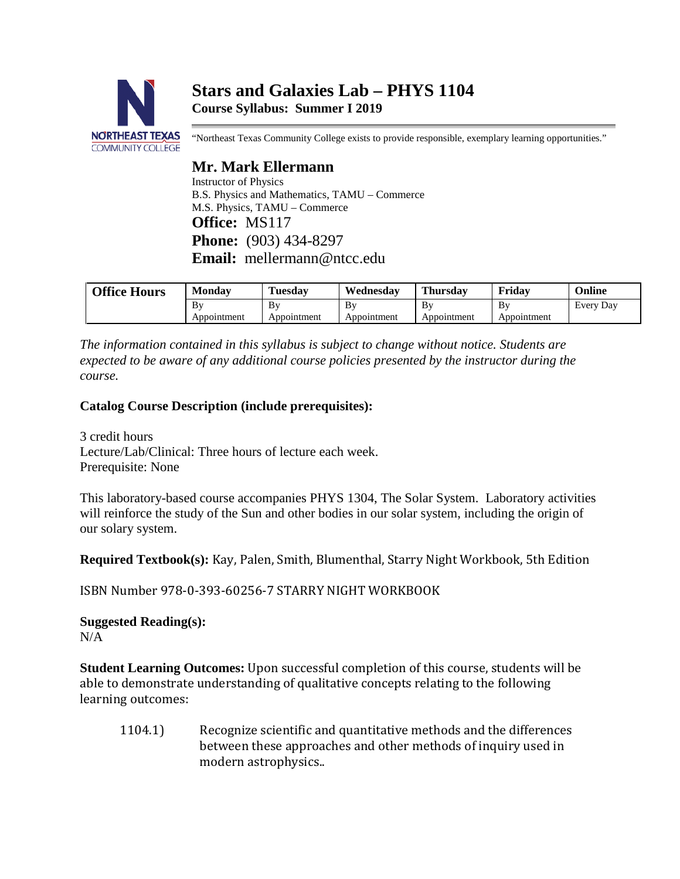# **Stars and Galaxies Lab – PHYS 1104 Course Syllabus: Summer I 2019**



"Northeast Texas Community College exists to provide responsible, exemplary learning opportunities."

# **Mr. Mark Ellermann**

Instructor of Physics B.S. Physics and Mathematics, TAMU – Commerce M.S. Physics, TAMU – Commerce **Office:** MS117 **Phone:** (903) 434-8297 **Email:** mellermann@ntcc.edu

| <b>Office Hours</b> | <b>Monday</b>     | l'uesdav          | Wednesday         | <b>Thursday</b>   | Fridav            | Online    |
|---------------------|-------------------|-------------------|-------------------|-------------------|-------------------|-----------|
|                     | By<br>Appointment | Bv<br>Appointment | Bv<br>Appointment | Bv<br>Appointment | Bv<br>Appointment | Every Day |

*The information contained in this syllabus is subject to change without notice. Students are expected to be aware of any additional course policies presented by the instructor during the course.*

# **Catalog Course Description (include prerequisites):**

3 credit hours Lecture/Lab/Clinical: Three hours of lecture each week. Prerequisite: None

This laboratory-based course accompanies PHYS 1304, The Solar System. Laboratory activities will reinforce the study of the Sun and other bodies in our solar system, including the origin of our solary system.

**Required Textbook(s):** Kay, Palen, Smith, Blumenthal, Starry Night Workbook, 5th Edition

ISBN Number 978-0-393-60256-7 STARRY NIGHT WORKBOOK

**Suggested Reading(s):** N/A

**Student Learning Outcomes:** Upon successful completion of this course, students will be able to demonstrate understanding of qualitative concepts relating to the following learning outcomes:

1104.1) Recognize scientific and quantitative methods and the differences between these approaches and other methods of inquiry used in modern astrophysics..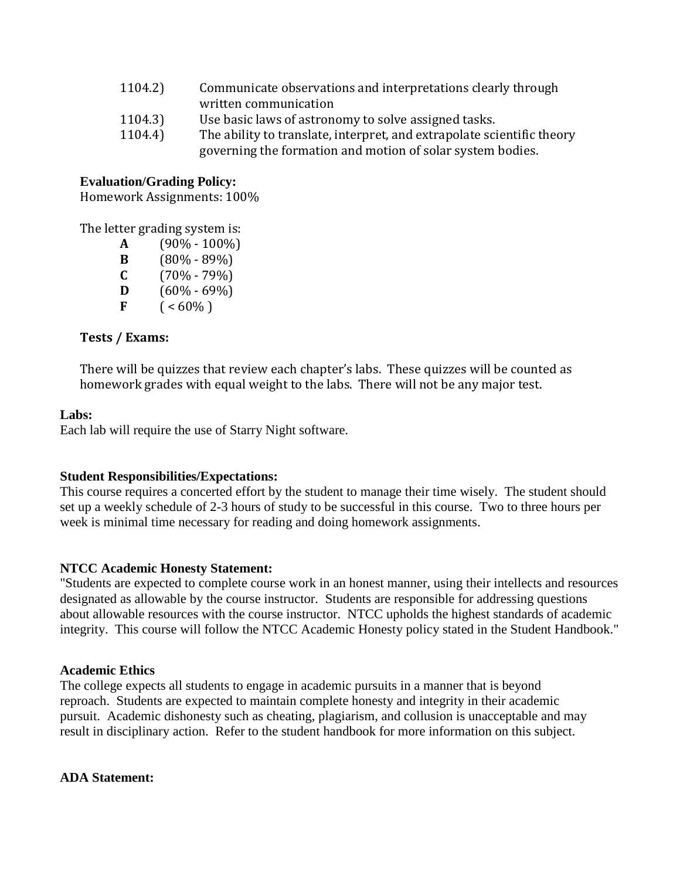- 1104.2) Communicate observations and interpretations clearly through written communication
- 1104.3) Use basic laws of astronomy to solve assigned tasks.<br>1104.4) The ability to translate, interpret, and extrapolate sci
- The ability to translate, interpret, and extrapolate scientific theory governing the formation and motion of solar system bodies.

# **Evaluation/Grading Policy:**

Homework Assignments: 100%

The letter grading system is:

| A | $(90\% - 100\%)$ |
|---|------------------|
| B | $(80\% - 89\%)$  |
| C | $(70\% - 79\%)$  |
| D | $(60\% - 69\%)$  |
| F | $($ < 60%)       |

# **Tests / Exams:**

There will be quizzes that review each chapter's labs. These quizzes will be counted as homework grades with equal weight to the labs. There will not be any major test.

#### **Labs:**

Each lab will require the use of Starry Night software.

#### **Student Responsibilities/Expectations:**

This course requires a concerted effort by the student to manage their time wisely. The student should set up a weekly schedule of 2-3 hours of study to be successful in this course. Two to three hours per week is minimal time necessary for reading and doing homework assignments.

#### **NTCC Academic Honesty Statement:**

"Students are expected to complete course work in an honest manner, using their intellects and resources designated as allowable by the course instructor. Students are responsible for addressing questions about allowable resources with the course instructor. NTCC upholds the highest standards of academic integrity. This course will follow the NTCC Academic Honesty policy stated in the Student Handbook."

#### **Academic Ethics**

The college expects all students to engage in academic pursuits in a manner that is beyond reproach. Students are expected to maintain complete honesty and integrity in their academic pursuit. Academic dishonesty such as cheating, plagiarism, and collusion is unacceptable and may result in disciplinary action. Refer to the student handbook for more information on this subject.

#### **ADA Statement:**